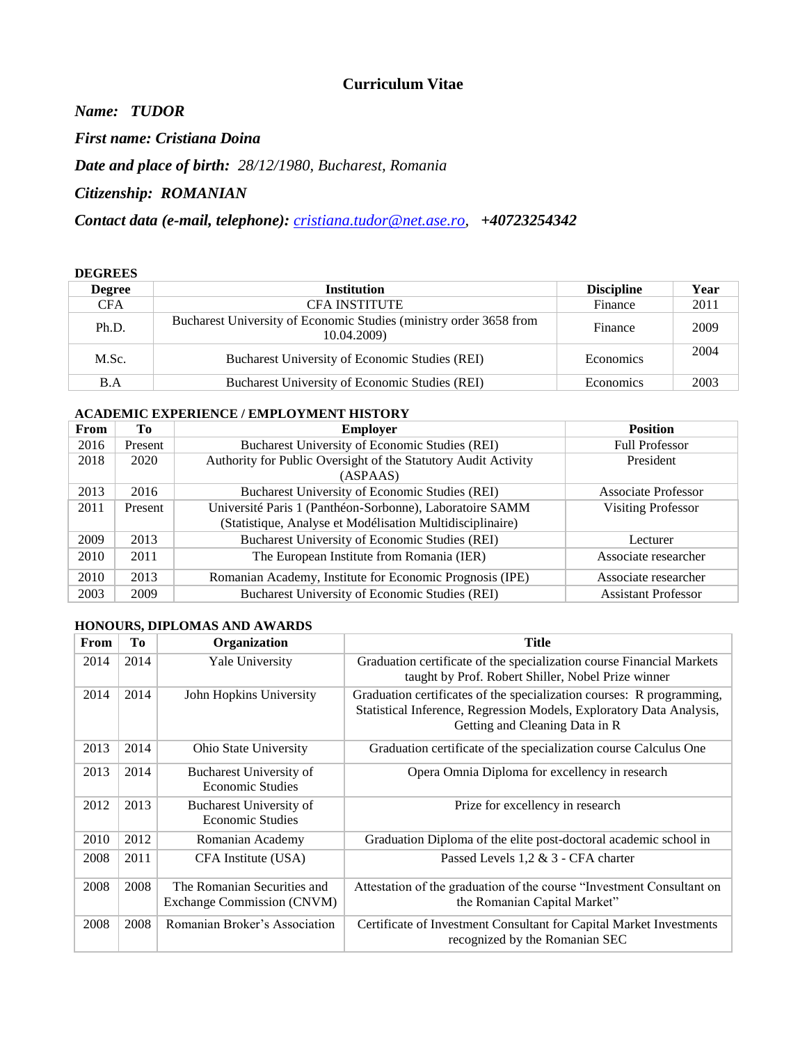## **Curriculum Vitae**

*Name: TUDOR*

*First name: Cristiana Doina* 

*Date and place of birth: 28/12/1980, Bucharest, Romania*

*Citizenship: ROMANIAN*

*Contact data (e-mail, telephone): [cristiana.tudor@net.ase.ro,](mailto:cristiana.tudor@net.ase.ro) +40723254342*

#### **DEGREES**

| <b>Degree</b> | <b>Institution</b>                                                                | <b>Discipline</b> | Year |
|---------------|-----------------------------------------------------------------------------------|-------------------|------|
| <b>CFA</b>    | <b>CFA INSTITUTE</b>                                                              | Finance           | 2011 |
| Ph.D.         | Bucharest University of Economic Studies (ministry order 3658 from<br>10.04.2009) | Finance           | 2009 |
| M.Sc.         | Bucharest University of Economic Studies (REI)                                    | Economics         | 2004 |
| B.A           | Bucharest University of Economic Studies (REI)                                    | Economics         | 2003 |

### **ACADEMIC EXPERIENCE / EMPLOYMENT HISTORY**

| From | Tо      | <b>Employer</b>                                                | <b>Position</b>            |
|------|---------|----------------------------------------------------------------|----------------------------|
| 2016 | Present | Bucharest University of Economic Studies (REI)                 | <b>Full Professor</b>      |
| 2018 | 2020    | Authority for Public Oversight of the Statutory Audit Activity | President                  |
|      |         | (ASPAAS)                                                       |                            |
| 2013 | 2016    | Bucharest University of Economic Studies (REI)                 | <b>Associate Professor</b> |
| 2011 | Present | Université Paris 1 (Panthéon-Sorbonne), Laboratoire SAMM       | <b>Visiting Professor</b>  |
|      |         | (Statistique, Analyse et Modélisation Multidisciplinaire)      |                            |
| 2009 | 2013    | Bucharest University of Economic Studies (REI)                 | Lecturer                   |
| 2010 | 2011    | The European Institute from Romania (IER)                      | Associate researcher       |
| 2010 | 2013    | Romanian Academy, Institute for Economic Prognosis (IPE)       | Associate researcher       |
| 2003 | 2009    | Bucharest University of Economic Studies (REI)                 | <b>Assistant Professor</b> |

#### **HONOURS, DIPLOMAS AND AWARDS**

| From | Tо   | Organization                                              | <b>Title</b>                                                                                                                                                                    |
|------|------|-----------------------------------------------------------|---------------------------------------------------------------------------------------------------------------------------------------------------------------------------------|
| 2014 | 2014 | Yale University                                           | Graduation certificate of the specialization course Financial Markets<br>taught by Prof. Robert Shiller, Nobel Prize winner                                                     |
| 2014 | 2014 | John Hopkins University                                   | Graduation certificates of the specialization courses: R programming,<br>Statistical Inference, Regression Models, Exploratory Data Analysis,<br>Getting and Cleaning Data in R |
| 2013 | 2014 | Ohio State University                                     | Graduation certificate of the specialization course Calculus One                                                                                                                |
| 2013 | 2014 | Bucharest University of<br><b>Economic Studies</b>        | Opera Omnia Diploma for excellency in research                                                                                                                                  |
| 2012 | 2013 | Bucharest University of<br><b>Economic Studies</b>        | Prize for excellency in research                                                                                                                                                |
| 2010 | 2012 | Romanian Academy                                          | Graduation Diploma of the elite post-doctoral academic school in                                                                                                                |
| 2008 | 2011 | CFA Institute (USA)                                       | Passed Levels $1,2 \& 3$ - CFA charter                                                                                                                                          |
| 2008 | 2008 | The Romanian Securities and<br>Exchange Commission (CNVM) | Attestation of the graduation of the course "Investment Consultant on<br>the Romanian Capital Market"                                                                           |
| 2008 | 2008 | Romanian Broker's Association                             | Certificate of Investment Consultant for Capital Market Investments<br>recognized by the Romanian SEC                                                                           |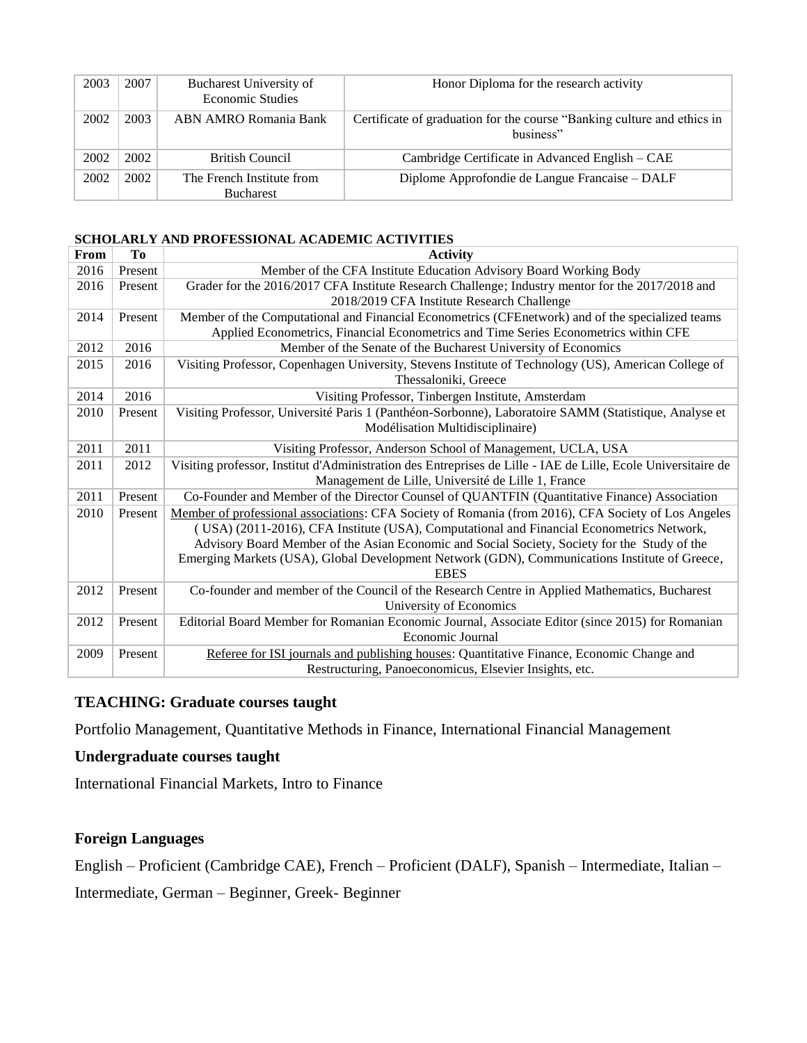| 2003 | 2007 | Bucharest University of<br><b>Economic Studies</b> | Honor Diploma for the research activity                                              |
|------|------|----------------------------------------------------|--------------------------------------------------------------------------------------|
| 2002 | 2003 | ABN AMRO Romania Bank                              | Certificate of graduation for the course "Banking culture and ethics in<br>business" |
| 2002 | 2002 | <b>British Council</b>                             | Cambridge Certificate in Advanced English – CAE                                      |
| 2002 | 2002 | The French Institute from<br><b>Bucharest</b>      | Diplome Approfondie de Langue Francaise – DALF                                       |

#### **SCHOLARLY AND PROFESSIONAL ACADEMIC ACTIVITIES**

| From | T <sub>0</sub> | <b>Activity</b>                                                                                                              |  |
|------|----------------|------------------------------------------------------------------------------------------------------------------------------|--|
| 2016 | Present        | Member of the CFA Institute Education Advisory Board Working Body                                                            |  |
| 2016 | Present        | Grader for the 2016/2017 CFA Institute Research Challenge; Industry mentor for the 2017/2018 and                             |  |
|      |                | 2018/2019 CFA Institute Research Challenge                                                                                   |  |
| 2014 | Present        | Member of the Computational and Financial Econometrics (CFEnetwork) and of the specialized teams                             |  |
|      |                | Applied Econometrics, Financial Econometrics and Time Series Econometrics within CFE                                         |  |
| 2012 | 2016           | Member of the Senate of the Bucharest University of Economics                                                                |  |
| 2015 | 2016           | Visiting Professor, Copenhagen University, Stevens Institute of Technology (US), American College of<br>Thessaloniki, Greece |  |
| 2014 | 2016           | Visiting Professor, Tinbergen Institute, Amsterdam                                                                           |  |
| 2010 | Present        | Visiting Professor, Université Paris 1 (Panthéon-Sorbonne), Laboratoire SAMM (Statistique, Analyse et                        |  |
|      |                | Modélisation Multidisciplinaire)                                                                                             |  |
| 2011 | 2011           | Visiting Professor, Anderson School of Management, UCLA, USA                                                                 |  |
| 2011 | 2012           | Visiting professor, Institut d'Administration des Entreprises de Lille - IAE de Lille, Ecole Universitaire de                |  |
|      |                | Management de Lille, Université de Lille 1, France                                                                           |  |
| 2011 | Present        | Co-Founder and Member of the Director Counsel of QUANTFIN (Quantitative Finance) Association                                 |  |
| 2010 | Present        | Member of professional associations: CFA Society of Romania (from 2016), CFA Society of Los Angeles                          |  |
|      |                | (USA) (2011-2016), CFA Institute (USA), Computational and Financial Econometrics Network,                                    |  |
|      |                | Advisory Board Member of the Asian Economic and Social Society, Society for the Study of the                                 |  |
|      |                | Emerging Markets (USA), Global Development Network (GDN), Communications Institute of Greece,                                |  |
|      |                | <b>EBES</b>                                                                                                                  |  |
| 2012 | Present        | Co-founder and member of the Council of the Research Centre in Applied Mathematics, Bucharest                                |  |
|      |                | University of Economics                                                                                                      |  |
| 2012 | Present        | Editorial Board Member for Romanian Economic Journal, Associate Editor (since 2015) for Romanian                             |  |
|      |                | Economic Journal                                                                                                             |  |
| 2009 | Present        | Referee for ISI journals and publishing houses: Quantitative Finance, Economic Change and                                    |  |
|      |                | Restructuring, Panoeconomicus, Elsevier Insights, etc.                                                                       |  |

# **TEACHING: Graduate courses taught**

Portfolio Management, Quantitative Methods in Finance, International Financial Management

## **Undergraduate courses taught**

International Financial Markets, Intro to Finance

## **Foreign Languages**

English – Proficient (Cambridge CAE), French – Proficient (DALF), Spanish – Intermediate, Italian –

Intermediate, German – Beginner, Greek- Beginner